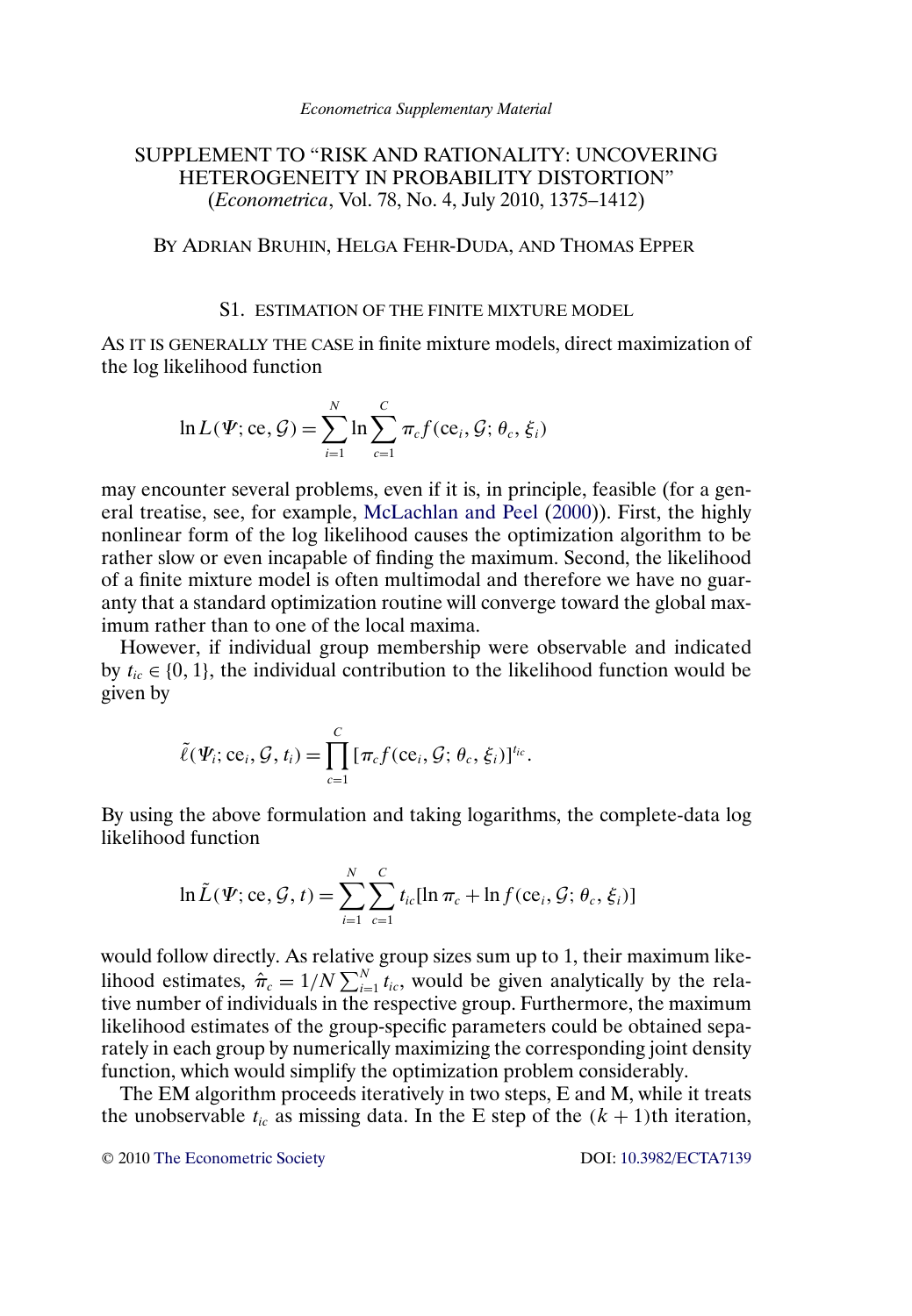# <span id="page-0-0"></span>SUPPLEMENT TO "RISK AND RATIONALITY: UNCOVERING HETEROGENEITY IN PROBABILITY DISTORTION" (*Econometrica*, Vol. 78, No. 4, July 2010, 1375–1412)

BY ADRIAN BRUHIN, HELGA FEHR-DUDA, AND THOMAS EPPER

### S1. ESTIMATION OF THE FINITE MIXTURE MODEL

AS IT IS GENERALLY THE CASE in finite mixture models, direct maximization of the log likelihood function

$$
\ln L(\Psi; \text{ce}, \mathcal{G}) = \sum_{i=1}^{N} \ln \sum_{c=1}^{C} \pi_c f(\text{ce}_i, \mathcal{G}; \theta_c, \xi_i)
$$

may encounter several problems, even if it is, in principle, feasible (for a general treatise, see, for example, [McLachlan and Peel](#page-5-0) [\(2000\)](#page-5-0)). First, the highly nonlinear form of the log likelihood causes the optimization algorithm to be rather slow or even incapable of finding the maximum. Second, the likelihood of a finite mixture model is often multimodal and therefore we have no guaranty that a standard optimization routine will converge toward the global maximum rather than to one of the local maxima.

However, if individual group membership were observable and indicated by  $t_{ic} \in \{0, 1\}$ , the individual contribution to the likelihood function would be given by

$$
\tilde{\ell}(\boldsymbol{\Psi}_i; \mathbf{ce}_i, \mathcal{G}, t_i) = \prod_{c=1}^C \left[ \pi_c f(\mathbf{ce}_i, \mathcal{G}; \theta_c, \xi_i) \right]^{t_{ic}}.
$$

By using the above formulation and taking logarithms, the complete-data log likelihood function

$$
\ln \tilde{L}(\Psi; \text{ce}, \mathcal{G}, t) = \sum_{i=1}^{N} \sum_{c=1}^{C} t_{ic} [\ln \pi_c + \ln f(\text{ce}_i, \mathcal{G}; \theta_c, \xi_i)]
$$

would follow directly. As relative group sizes sum up to 1, their maximum likelihood estimates,  $\hat{\pi}_c = 1/N \sum_{i=1}^{N} t_{ic}$ , would be given analytically by the relative number of individuals in the respective group. Furthermore, the maximum likelihood estimates of the group-specific parameters could be obtained separately in each group by numerically maximizing the corresponding joint density function, which would simplify the optimization problem considerably.

The EM algorithm proceeds iteratively in two steps, E and M, while it treats the unobservable  $t_{ic}$  as missing data. In the E step of the  $(k + 1)$ th iteration,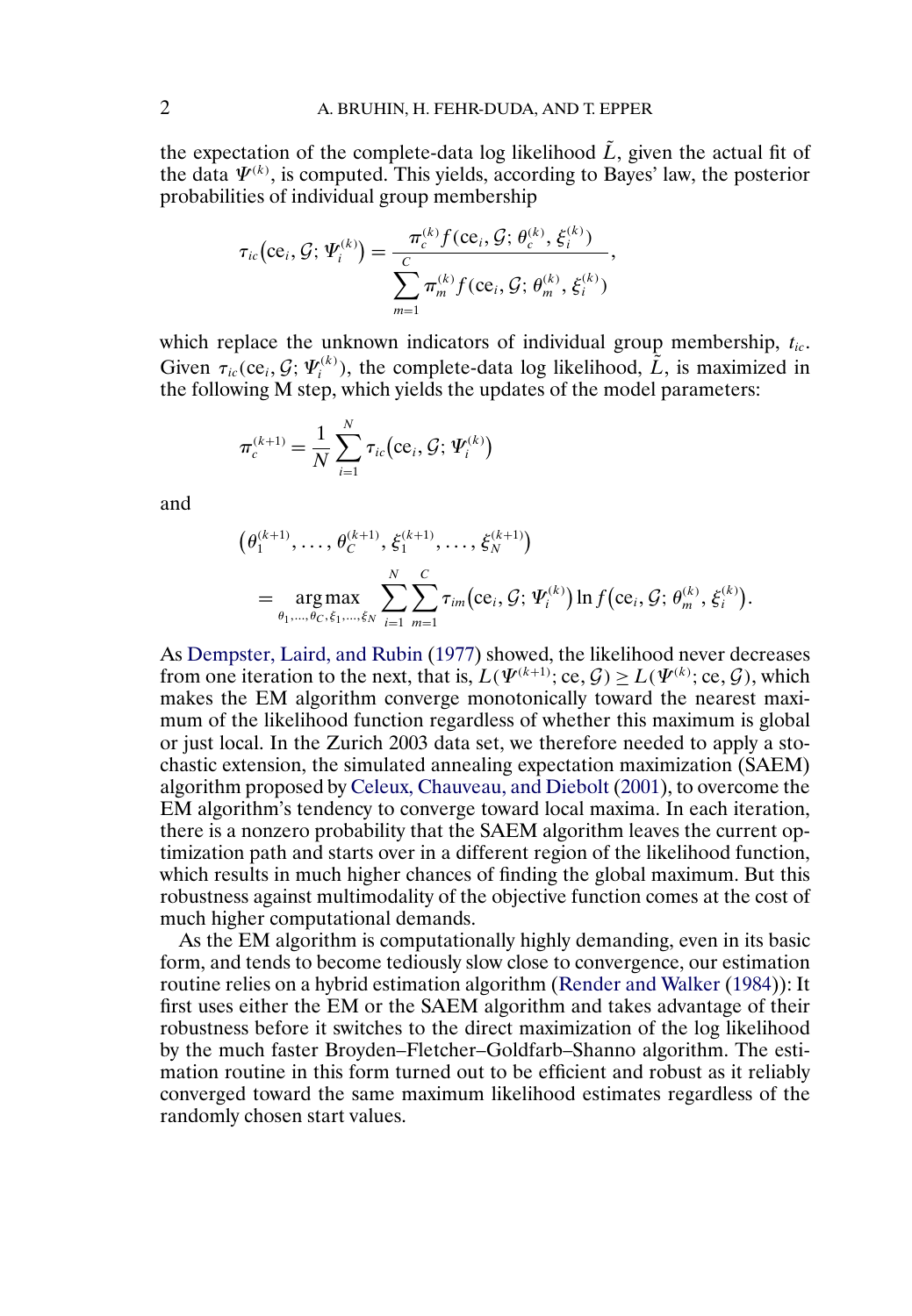<span id="page-1-0"></span>the expectation of the complete-data log likelihood  $\tilde{L}$ , given the actual fit of the data  $\Psi^{(k)}$ , is computed. This yields, according to Bayes' law, the posterior probabilities of individual group membership

$$
\tau_{ic}(\text{ce}_i, \mathcal{G}; \Psi_i^{(k)}) = \frac{\pi_c^{(k)} f(\text{ce}_i, \mathcal{G}; \theta_c^{(k)}, \xi_i^{(k)})}{\sum_{m=1}^C \pi_m^{(k)} f(\text{ce}_i, \mathcal{G}; \theta_m^{(k)}, \xi_i^{(k)})},
$$

which replace the unknown indicators of individual group membership,  $t_{ic}$ . Given  $\tau_{ic}$  (ce<sub>i</sub>, G;  $\Psi_i^{(k)}$ ), the complete-data log likelihood,  $\tilde{L}$ , is maximized in the following M step, which yields the updates of the model parameters:

$$
\pi_c^{(k+1)} = \frac{1}{N} \sum_{i=1}^{N} \tau_{ic}(\text{ce}_i, \mathcal{G}; \Psi_i^{(k)})
$$

and

$$
(\theta_1^{(k+1)}, \ldots, \theta_C^{(k+1)}, \xi_1^{(k+1)}, \ldots, \xi_N^{(k+1)})
$$
  
= 
$$
\underset{\theta_1, \ldots, \theta_C, \xi_1, \ldots, \xi_N}{\arg \max} \sum_{i=1}^N \sum_{m=1}^C \tau_{im}(\mathbf{ce}_i, \mathcal{G}; \Psi_i^{(k)}) \ln f(\mathbf{ce}_i, \mathcal{G}; \theta_m^{(k)}, \xi_i^{(k)}).
$$

As [Dempster, Laird, and Rubin](#page-4-0) [\(1977\)](#page-4-0) showed, the likelihood never decreases from one iteration to the next, that is,  $L(\Psi^{(k+1)}; \text{ce}, \mathcal{G}) \ge L(\Psi^{(k)}; \text{ce}, \mathcal{G})$ , which makes the EM algorithm converge monotonically toward the nearest maximum of the likelihood function regardless of whether this maximum is global or just local. In the Zurich 2003 data set, we therefore needed to apply a stochastic extension, the simulated annealing expectation maximization (SAEM) algorithm proposed by [Celeux, Chauveau, and Diebolt](#page-4-0) [\(2001\)](#page-4-0), to overcome the EM algorithm's tendency to converge toward local maxima. In each iteration, there is a nonzero probability that the SAEM algorithm leaves the current optimization path and starts over in a different region of the likelihood function, which results in much higher chances of finding the global maximum. But this robustness against multimodality of the objective function comes at the cost of much higher computational demands.

As the EM algorithm is computationally highly demanding, even in its basic form, and tends to become tediously slow close to convergence, our estimation routine relies on a hybrid estimation algorithm [\(Render and Walker](#page-5-0) [\(1984\)](#page-5-0)): It first uses either the EM or the SAEM algorithm and takes advantage of their robustness before it switches to the direct maximization of the log likelihood by the much faster Broyden–Fletcher–Goldfarb–Shanno algorithm. The estimation routine in this form turned out to be efficient and robust as it reliably converged toward the same maximum likelihood estimates regardless of the randomly chosen start values.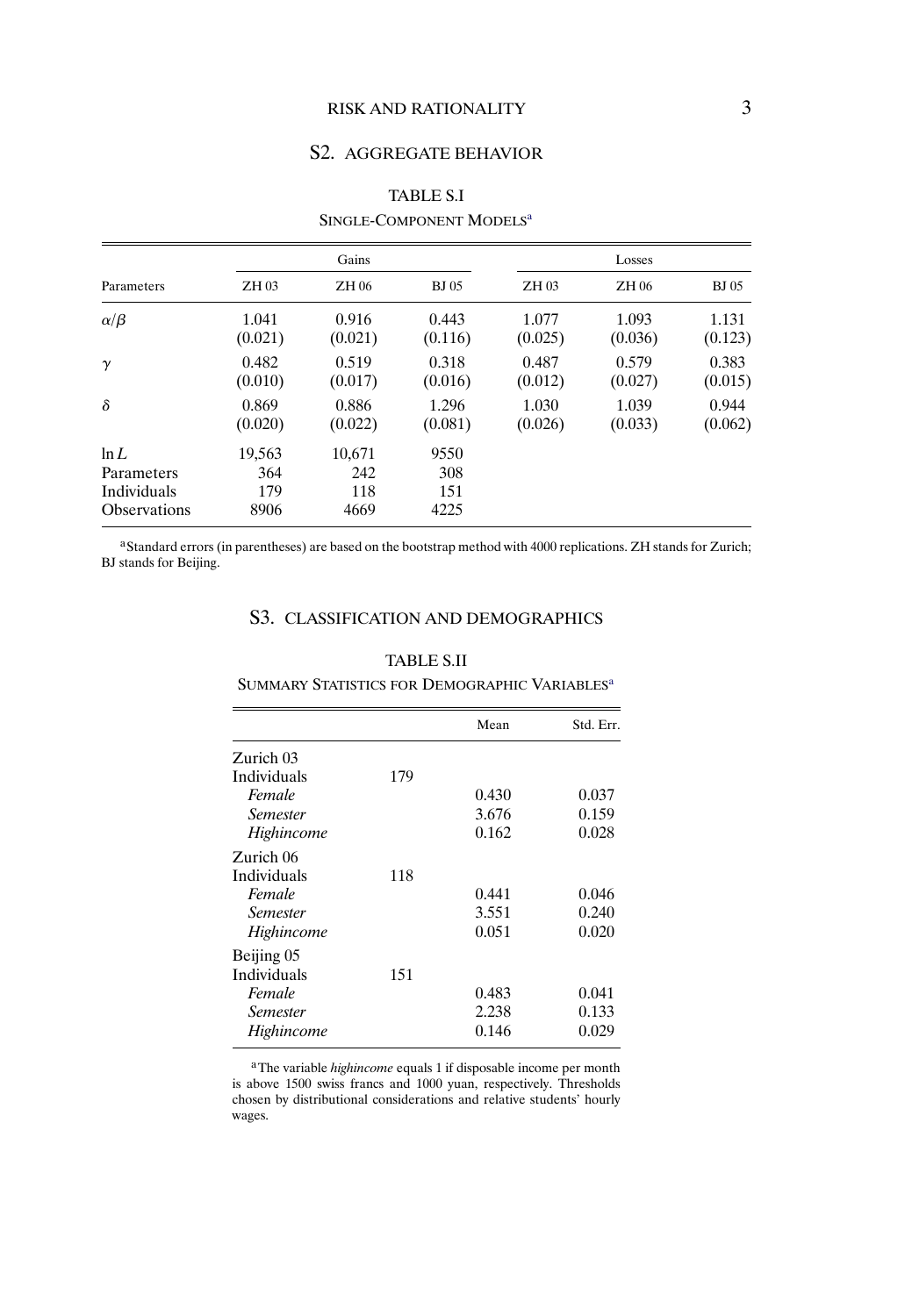## RISK AND RATIONALITY 3

## S2. AGGREGATE BEHAVIOR

| Parameters                                               | Gains                        |                              |                            | Losses  |         |              |  |
|----------------------------------------------------------|------------------------------|------------------------------|----------------------------|---------|---------|--------------|--|
|                                                          | ZH 03                        | ZH 06                        | <b>BJ</b> 05               | ZH 03   | ZH 06   | <b>BJ</b> 05 |  |
| $\alpha/\beta$                                           | 1.041                        | 0.916                        | 0.443                      | 1.077   | 1.093   | 1.131        |  |
|                                                          | (0.021)                      | (0.021)                      | (0.116)                    | (0.025) | (0.036) | (0.123)      |  |
| $\gamma$                                                 | 0.482                        | 0.519                        | 0.318                      | 0.487   | 0.579   | 0.383        |  |
|                                                          | (0.010)                      | (0.017)                      | (0.016)                    | (0.012) | (0.027) | (0.015)      |  |
| $\delta$                                                 | 0.869                        | 0.886                        | 1.296                      | 1.030   | 1.039   | 0.944        |  |
|                                                          | (0.020)                      | (0.022)                      | (0.081)                    | (0.026) | (0.033) | (0.062)      |  |
| ln L<br>Parameters<br>Individuals<br><b>Observations</b> | 19,563<br>364<br>179<br>8906 | 10,671<br>242<br>118<br>4669 | 9550<br>308<br>151<br>4225 |         |         |              |  |

# TABLE S.I SINGLE-COMPONENT MODELS<sup>a</sup>

<sup>a</sup>Standard errors (in parentheses) are based on the bootstrap method with 4000 replications. ZH stands for Zurich; BJ stands for Beijing.

## S3. CLASSIFICATION AND DEMOGRAPHICS

#### TABLE S.II

### SUMMARY STATISTICS FOR DEMOGRAPHIC VARIABLES<sup>a</sup>

|                 |     | Mean  | Std. Err. |
|-----------------|-----|-------|-----------|
| Zurich 03       |     |       |           |
| Individuals     | 179 |       |           |
| Female          |     | 0.430 | 0.037     |
| <i>Semester</i> |     | 3.676 | 0.159     |
| Highincome      |     | 0.162 | 0.028     |
| Zurich 06       |     |       |           |
| Individuals     | 118 |       |           |
| Female          |     | 0.441 | 0.046     |
| <i>Semester</i> |     | 3.551 | 0.240     |
| Highincome      |     | 0.051 | 0.020     |
| Beijing 05      |     |       |           |
| Individuals     | 151 |       |           |
| Female          |     | 0.483 | 0.041     |
| <i>Semester</i> |     | 2.238 | 0.133     |
| Highincome      |     | 0.146 | 0.029     |

aThe variable *highincome* equals 1 if disposable income per month is above 1500 swiss francs and 1000 yuan, respectively. Thresholds chosen by distributional considerations and relative students' hourly wages.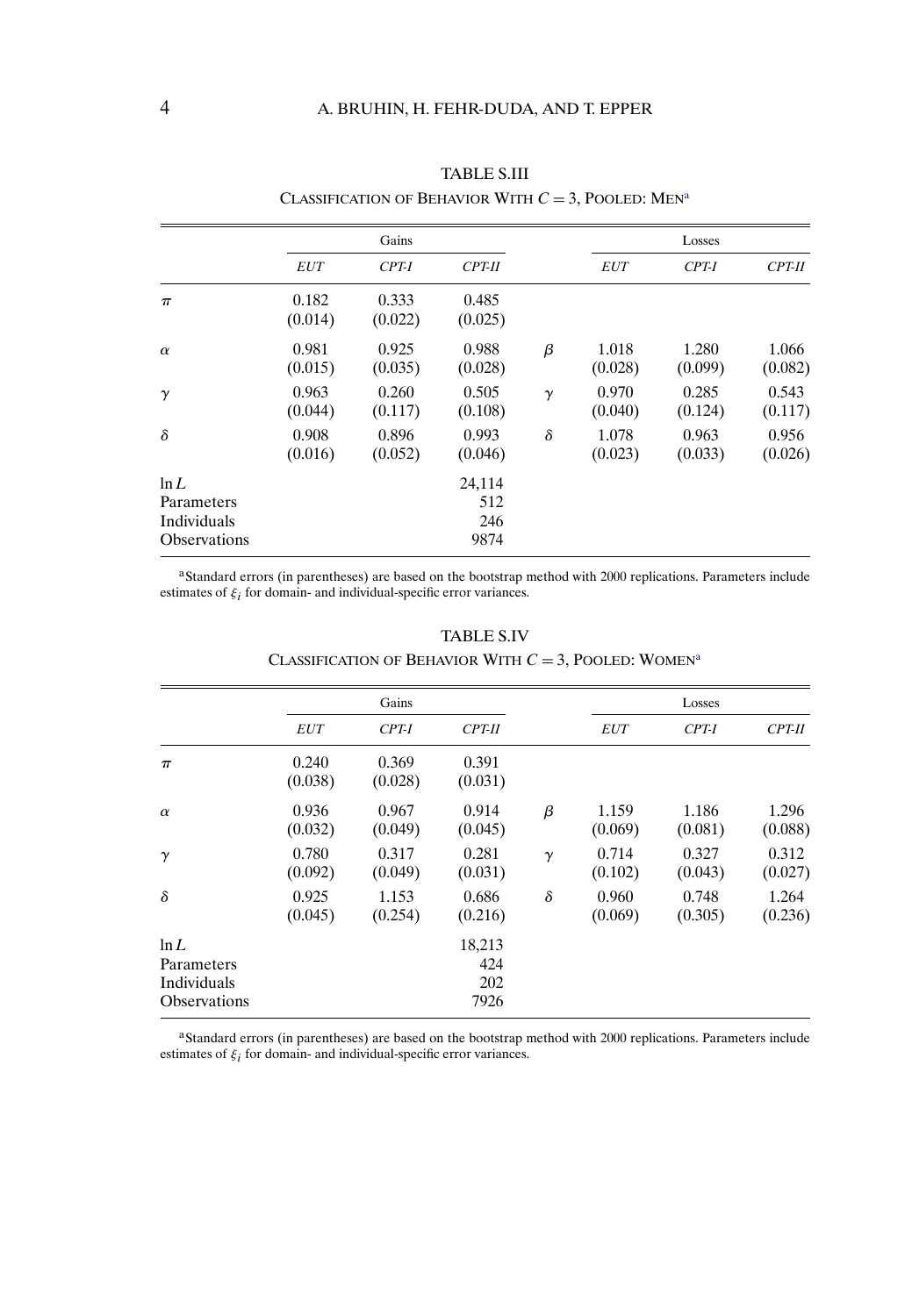|                                                          | Gains            |                  |                              |          | Losses           |                  |                  |
|----------------------------------------------------------|------------------|------------------|------------------------------|----------|------------------|------------------|------------------|
|                                                          | <i>EUT</i>       | $CPT-I$          | <b>CPT-II</b>                |          | <b>EUT</b>       | $CPT-I$          | $CPT-II$         |
| $\pi$                                                    | 0.182<br>(0.014) | 0.333<br>(0.022) | 0.485<br>(0.025)             |          |                  |                  |                  |
| $\alpha$                                                 | 0.981<br>(0.015) | 0.925<br>(0.035) | 0.988<br>(0.028)             | β        | 1.018<br>(0.028) | 1.280<br>(0.099) | 1.066<br>(0.082) |
| $\gamma$                                                 | 0.963<br>(0.044) | 0.260<br>(0.117) | 0.505<br>(0.108)             | $\gamma$ | 0.970<br>(0.040) | 0.285<br>(0.124) | 0.543<br>(0.117) |
| $\delta$                                                 | 0.908<br>(0.016) | 0.896<br>(0.052) | 0.993<br>(0.046)             | $\delta$ | 1.078<br>(0.023) | 0.963<br>(0.033) | 0.956<br>(0.026) |
| ln L<br>Parameters<br>Individuals<br><b>Observations</b> |                  |                  | 24,114<br>512<br>246<br>9874 |          |                  |                  |                  |

TABLE S.III CLASSIFICATION OF BEHAVIOR WITH  $C = 3$ , POOLED: MEN<sup>a</sup>

<sup>a</sup>Standard errors (in parentheses) are based on the bootstrap method with 2000 replications. Parameters include estimates of  $\xi_i$  for domain- and individual-specific error variances.

|                                                          | Gains            |                  |                              |          | Losses           |                  |                  |
|----------------------------------------------------------|------------------|------------------|------------------------------|----------|------------------|------------------|------------------|
|                                                          | <i>EUT</i>       | $CPT-I$          | $CPT-II$                     |          | <i>EUT</i>       | CPT-I            | $CPT-II$         |
| $\pi$                                                    | 0.240<br>(0.038) | 0.369<br>(0.028) | 0.391<br>(0.031)             |          |                  |                  |                  |
| $\alpha$                                                 | 0.936<br>(0.032) | 0.967<br>(0.049) | 0.914<br>(0.045)             | β        | 1.159<br>(0.069) | 1.186<br>(0.081) | 1.296<br>(0.088) |
| $\gamma$                                                 | 0.780<br>(0.092) | 0.317<br>(0.049) | 0.281<br>(0.031)             | $\gamma$ | 0.714<br>(0.102) | 0.327<br>(0.043) | 0.312<br>(0.027) |
| $\delta$                                                 | 0.925<br>(0.045) | 1.153<br>(0.254) | 0.686<br>(0.216)             | $\delta$ | 0.960<br>(0.069) | 0.748<br>(0.305) | 1.264<br>(0.236) |
| ln L<br>Parameters<br>Individuals<br><b>Observations</b> |                  |                  | 18,213<br>424<br>202<br>7926 |          |                  |                  |                  |

## TABLE S.IV CLASSIFICATION OF BEHAVIOR WITH  $C = 3$ , POOLED: WOMEN<sup>a</sup>

<sup>a</sup>Standard errors (in parentheses) are based on the bootstrap method with 2000 replications. Parameters include estimates of  $\xi_i$  for domain- and individual-specific error variances.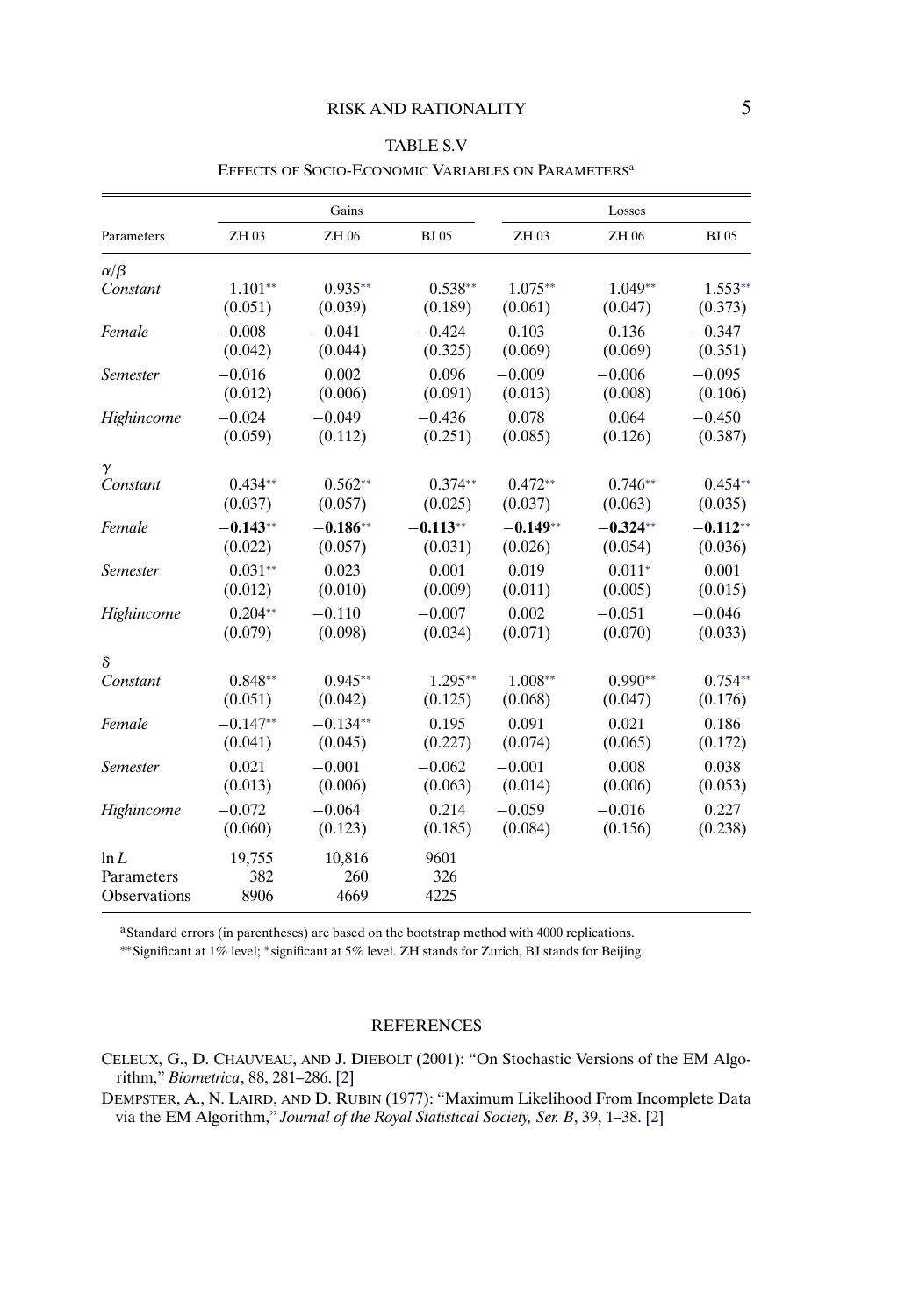<span id="page-4-0"></span>

|                 |            | Gains      |              |            | Losses     |              |
|-----------------|------------|------------|--------------|------------|------------|--------------|
| Parameters      | ZH 03      | ZH 06      | <b>BJ</b> 05 | ZH 03      | ZH 06      | <b>BJ</b> 05 |
| $\alpha/\beta$  |            |            |              |            |            |              |
| Constant        | $1.101**$  | $0.935**$  | $0.538**$    | $1.075**$  | $1.049**$  | $1.553**$    |
|                 | (0.051)    | (0.039)    | (0.189)      | (0.061)    | (0.047)    | (0.373)      |
| Female          | $-0.008$   | $-0.041$   | $-0.424$     | 0.103      | 0.136      | $-0.347$     |
|                 | (0.042)    | (0.044)    | (0.325)      | (0.069)    | (0.069)    | (0.351)      |
| <b>Semester</b> | $-0.016$   | 0.002      | 0.096        | $-0.009$   | $-0.006$   | $-0.095$     |
|                 | (0.012)    | (0.006)    | (0.091)      | (0.013)    | (0.008)    | (0.106)      |
| Highincome      | $-0.024$   | $-0.049$   | $-0.436$     | 0.078      | 0.064      | $-0.450$     |
|                 | (0.059)    | (0.112)    | (0.251)      | (0.085)    | (0.126)    | (0.387)      |
| γ               |            |            |              |            |            |              |
| Constant        | $0.434**$  | $0.562**$  | $0.374**$    | $0.472**$  | $0.746**$  | $0.454**$    |
|                 | (0.037)    | (0.057)    | (0.025)      | (0.037)    | (0.063)    | (0.035)      |
| Female          | $-0.143**$ | $-0.186**$ | $-0.113**$   | $-0.149**$ | $-0.324**$ | $-0.112**$   |
|                 | (0.022)    | (0.057)    | (0.031)      | (0.026)    | (0.054)    | (0.036)      |
| <b>Semester</b> | $0.031**$  | 0.023      | 0.001        | 0.019      | $0.011*$   | 0.001        |
|                 | (0.012)    | (0.010)    | (0.009)      | (0.011)    | (0.005)    | (0.015)      |
| Highincome      | $0.204**$  | $-0.110$   | $-0.007$     | 0.002      | $-0.051$   | $-0.046$     |
|                 | (0.079)    | (0.098)    | (0.034)      | (0.071)    | (0.070)    | (0.033)      |
| $\delta$        |            |            |              |            |            |              |
| Constant        | $0.848**$  | $0.945**$  | $1.295**$    | $1.008**$  | $0.990**$  | $0.754**$    |
|                 | (0.051)    | (0.042)    | (0.125)      | (0.068)    | (0.047)    | (0.176)      |
| Female          | $-0.147**$ | $-0.134**$ | 0.195        | 0.091      | 0.021      | 0.186        |
|                 | (0.041)    | (0.045)    | (0.227)      | (0.074)    | (0.065)    | (0.172)      |
| <b>Semester</b> | 0.021      | $-0.001$   | $-0.062$     | $-0.001$   | 0.008      | 0.038        |
|                 | (0.013)    | (0.006)    | (0.063)      | (0.014)    | (0.006)    | (0.053)      |
| Highincome      | $-0.072$   | $-0.064$   | 0.214        | $-0.059$   | $-0.016$   | 0.227        |
|                 | (0.060)    | (0.123)    | (0.185)      | (0.084)    | (0.156)    | (0.238)      |
| ln L            | 19,755     | 10,816     | 9601         |            |            |              |
| Parameters      | 382        | 260        | 326          |            |            |              |
| Observations    | 8906       | 4669       | 4225         |            |            |              |

### TABLE S.V EFFECTS OF SOCIO-ECONOMIC VARIABLES ON PARAMETERS<sup>a</sup>

aStandard errors (in parentheses) are based on the bootstrap method with 4000 replications.

∗∗Significant at 1% level; <sup>∗</sup>significant at 5% level. ZH stands for Zurich, BJ stands for Beijing.

### **REFERENCES**

CELEUX, G., D. CHAUVEAU, AND J. DIEBOLT (2001): "On Stochastic Versions of the EM Algorithm," *Biometrica*, 88, 281–286. [\[2\]](#page-1-0)

DEMPSTER, A., N. LAIRD, AND D. RUBIN (1977): "Maximum Likelihood From Incomplete Data via the EM Algorithm," *Journal of the Royal Statistical Society, Ser. B*, 39, 1–38. [\[2\]](#page-1-0)